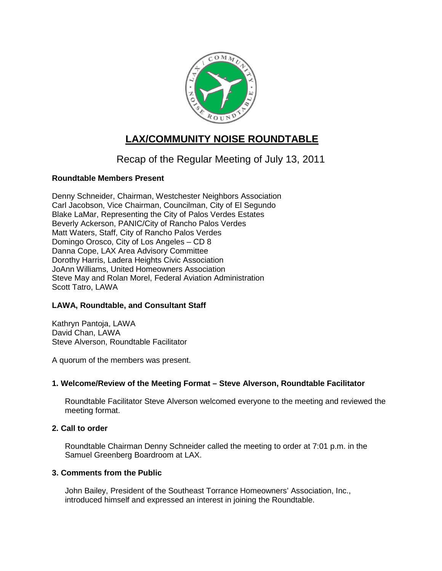

# **LAX/COMMUNITY NOISE ROUNDTABLE**

# Recap of the Regular Meeting of July 13, 2011

# **Roundtable Members Present**

Denny Schneider, Chairman, Westchester Neighbors Association Carl Jacobson, Vice Chairman, Councilman, City of El Segundo Blake LaMar, Representing the City of Palos Verdes Estates Beverly Ackerson, PANIC/City of Rancho Palos Verdes Matt Waters, Staff, City of Rancho Palos Verdes Domingo Orosco, City of Los Angeles – CD 8 Danna Cope, LAX Area Advisory Committee Dorothy Harris, Ladera Heights Civic Association JoAnn Williams, United Homeowners Association Steve May and Rolan Morel, Federal Aviation Administration Scott Tatro, LAWA

# **LAWA, Roundtable, and Consultant Staff**

Kathryn Pantoja, LAWA David Chan, LAWA Steve Alverson, Roundtable Facilitator

A quorum of the members was present.

# **1. Welcome/Review of the Meeting Format – Steve Alverson, Roundtable Facilitator**

Roundtable Facilitator Steve Alverson welcomed everyone to the meeting and reviewed the meeting format.

## **2. Call to order**

Roundtable Chairman Denny Schneider called the meeting to order at 7:01 p.m. in the Samuel Greenberg Boardroom at LAX.

## **3. Comments from the Public**

John Bailey, President of the Southeast Torrance Homeowners' Association, Inc., introduced himself and expressed an interest in joining the Roundtable.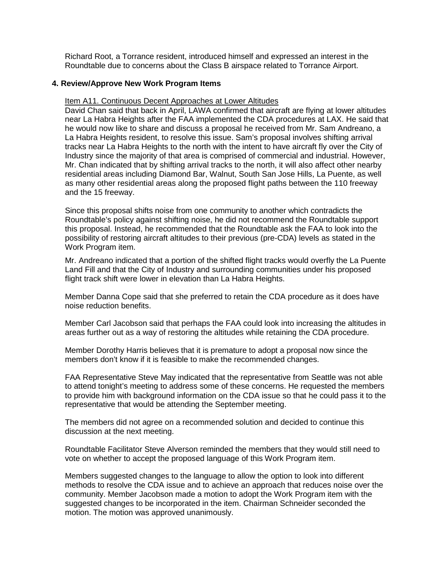Richard Root, a Torrance resident, introduced himself and expressed an interest in the Roundtable due to concerns about the Class B airspace related to Torrance Airport.

#### **4. Review/Approve New Work Program Items**

#### Item A11. Continuous Decent Approaches at Lower Altitudes

David Chan said that back in April, LAWA confirmed that aircraft are flying at lower altitudes near La Habra Heights after the FAA implemented the CDA procedures at LAX. He said that he would now like to share and discuss a proposal he received from Mr. Sam Andreano, a La Habra Heights resident, to resolve this issue. Sam's proposal involves shifting arrival tracks near La Habra Heights to the north with the intent to have aircraft fly over the City of Industry since the majority of that area is comprised of commercial and industrial. However, Mr. Chan indicated that by shifting arrival tracks to the north, it will also affect other nearby residential areas including Diamond Bar, Walnut, South San Jose Hills, La Puente, as well as many other residential areas along the proposed flight paths between the 110 freeway and the 15 freeway.

Since this proposal shifts noise from one community to another which contradicts the Roundtable's policy against shifting noise, he did not recommend the Roundtable support this proposal. Instead, he recommended that the Roundtable ask the FAA to look into the possibility of restoring aircraft altitudes to their previous (pre-CDA) levels as stated in the Work Program item.

Mr. Andreano indicated that a portion of the shifted flight tracks would overfly the La Puente Land Fill and that the City of Industry and surrounding communities under his proposed flight track shift were lower in elevation than La Habra Heights.

Member Danna Cope said that she preferred to retain the CDA procedure as it does have noise reduction benefits.

Member Carl Jacobson said that perhaps the FAA could look into increasing the altitudes in areas further out as a way of restoring the altitudes while retaining the CDA procedure.

Member Dorothy Harris believes that it is premature to adopt a proposal now since the members don't know if it is feasible to make the recommended changes.

FAA Representative Steve May indicated that the representative from Seattle was not able to attend tonight's meeting to address some of these concerns. He requested the members to provide him with background information on the CDA issue so that he could pass it to the representative that would be attending the September meeting.

The members did not agree on a recommended solution and decided to continue this discussion at the next meeting.

Roundtable Facilitator Steve Alverson reminded the members that they would still need to vote on whether to accept the proposed language of this Work Program item.

Members suggested changes to the language to allow the option to look into different methods to resolve the CDA issue and to achieve an approach that reduces noise over the community. Member Jacobson made a motion to adopt the Work Program item with the suggested changes to be incorporated in the item. Chairman Schneider seconded the motion. The motion was approved unanimously.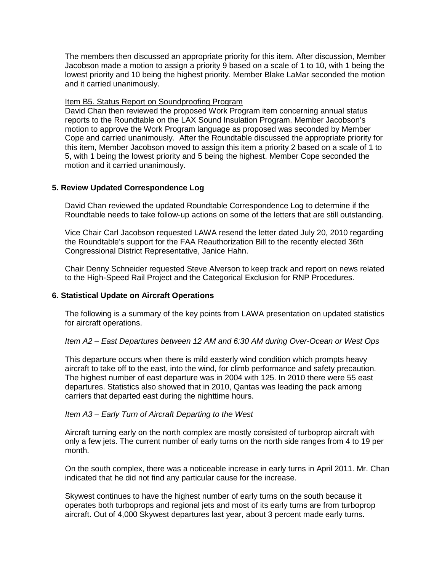The members then discussed an appropriate priority for this item. After discussion, Member Jacobson made a motion to assign a priority 9 based on a scale of 1 to 10, with 1 being the lowest priority and 10 being the highest priority. Member Blake LaMar seconded the motion and it carried unanimously.

#### Item B5. Status Report on Soundproofing Program

David Chan then reviewed the proposed Work Program item concerning annual status reports to the Roundtable on the LAX Sound Insulation Program. Member Jacobson's motion to approve the Work Program language as proposed was seconded by Member Cope and carried unanimously. After the Roundtable discussed the appropriate priority for this item, Member Jacobson moved to assign this item a priority 2 based on a scale of 1 to 5, with 1 being the lowest priority and 5 being the highest. Member Cope seconded the motion and it carried unanimously.

## **5. Review Updated Correspondence Log**

David Chan reviewed the updated Roundtable Correspondence Log to determine if the Roundtable needs to take follow-up actions on some of the letters that are still outstanding.

Vice Chair Carl Jacobson requested LAWA resend the letter dated July 20, 2010 regarding the Roundtable's support for the FAA Reauthorization Bill to the recently elected 36th Congressional District Representative, Janice Hahn.

Chair Denny Schneider requested Steve Alverson to keep track and report on news related to the High-Speed Rail Project and the Categorical Exclusion for RNP Procedures.

## **6. Statistical Update on Aircraft Operations**

The following is a summary of the key points from LAWA presentation on updated statistics for aircraft operations.

#### *Item A2 – East Departures between 12 AM and 6:30 AM during Over-Ocean or West Ops*

This departure occurs when there is mild easterly wind condition which prompts heavy aircraft to take off to the east, into the wind, for climb performance and safety precaution. The highest number of east departure was in 2004 with 125. In 2010 there were 55 east departures. Statistics also showed that in 2010, Qantas was leading the pack among carriers that departed east during the nighttime hours.

#### *Item A3 – Early Turn of Aircraft Departing to the West*

Aircraft turning early on the north complex are mostly consisted of turboprop aircraft with only a few jets. The current number of early turns on the north side ranges from 4 to 19 per month.

On the south complex, there was a noticeable increase in early turns in April 2011. Mr. Chan indicated that he did not find any particular cause for the increase.

Skywest continues to have the highest number of early turns on the south because it operates both turboprops and regional jets and most of its early turns are from turboprop aircraft. Out of 4,000 Skywest departures last year, about 3 percent made early turns.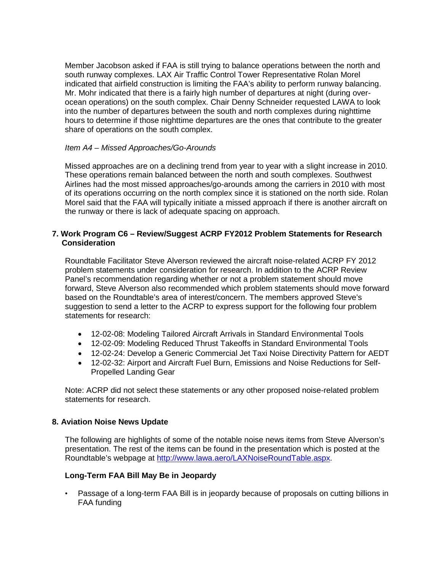Member Jacobson asked if FAA is still trying to balance operations between the north and south runway complexes. LAX Air Traffic Control Tower Representative Rolan Morel indicated that airfield construction is limiting the FAA's ability to perform runway balancing. Mr. Mohr indicated that there is a fairly high number of departures at night (during overocean operations) on the south complex. Chair Denny Schneider requested LAWA to look into the number of departures between the south and north complexes during nighttime hours to determine if those nighttime departures are the ones that contribute to the greater share of operations on the south complex.

#### *Item A4 – Missed Approaches/Go-Arounds*

Missed approaches are on a declining trend from year to year with a slight increase in 2010. These operations remain balanced between the north and south complexes. Southwest Airlines had the most missed approaches/go-arounds among the carriers in 2010 with most of its operations occurring on the north complex since it is stationed on the north side. Rolan Morel said that the FAA will typically initiate a missed approach if there is another aircraft on the runway or there is lack of adequate spacing on approach.

### **7. Work Program C6 – Review/Suggest ACRP FY2012 Problem Statements for Research Consideration**

Roundtable Facilitator Steve Alverson reviewed the aircraft noise-related ACRP FY 2012 problem statements under consideration for research. In addition to the ACRP Review Panel's recommendation regarding whether or not a problem statement should move forward, Steve Alverson also recommended which problem statements should move forward based on the Roundtable's area of interest/concern. The members approved Steve's suggestion to send a letter to the ACRP to express support for the following four problem statements for research:

- 12-02-08: Modeling Tailored Aircraft Arrivals in Standard Environmental Tools
- 12-02-09: Modeling Reduced Thrust Takeoffs in Standard Environmental Tools
- 12-02-24: Develop a Generic Commercial Jet Taxi Noise Directivity Pattern for AEDT
- 12-02-32: Airport and Aircraft Fuel Burn, Emissions and Noise Reductions for Self-Propelled Landing Gear

Note: ACRP did not select these statements or any other proposed noise-related problem statements for research.

#### **8. Aviation Noise News Update**

The following are highlights of some of the notable noise news items from Steve Alverson's presentation. The rest of the items can be found in the presentation which is posted at the Roundtable's webpage at [http://www.lawa.aero/LAXNoiseRoundTable.aspx.](http://www.lawa.aero/LAXNoiseRoundTable.aspx)

## **Long-Term FAA Bill May Be in Jeopardy**

• Passage of a long-term FAA Bill is in jeopardy because of proposals on cutting billions in FAA funding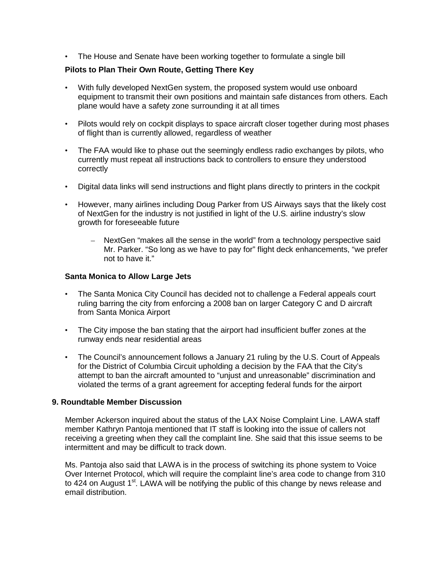• The House and Senate have been working together to formulate a single bill

## **Pilots to Plan Their Own Route, Getting There Key**

- With fully developed NextGen system, the proposed system would use onboard equipment to transmit their own positions and maintain safe distances from others. Each plane would have a safety zone surrounding it at all times
- Pilots would rely on cockpit displays to space aircraft closer together during most phases of flight than is currently allowed, regardless of weather
- The FAA would like to phase out the seemingly endless radio exchanges by pilots, who currently must repeat all instructions back to controllers to ensure they understood correctly
- Digital data links will send instructions and flight plans directly to printers in the cockpit
- However, many airlines including Doug Parker from US Airways says that the likely cost of NextGen for the industry is not justified in light of the U.S. airline industry's slow growth for foreseeable future
	- NextGen "makes all the sense in the world" from a technology perspective said Mr. Parker. "So long as we have to pay for" flight deck enhancements, "we prefer not to have it."

#### **Santa Monica to Allow Large Jets**

- The Santa Monica City Council has decided not to challenge a Federal appeals court ruling barring the city from enforcing a 2008 ban on larger Category C and D aircraft from Santa Monica Airport
- The City impose the ban stating that the airport had insufficient buffer zones at the runway ends near residential areas
- The Council's announcement follows a January 21 ruling by the U.S. Court of Appeals for the District of Columbia Circuit upholding a decision by the FAA that the City's attempt to ban the aircraft amounted to "unjust and unreasonable" discrimination and violated the terms of a grant agreement for accepting federal funds for the airport

#### **9. Roundtable Member Discussion**

Member Ackerson inquired about the status of the LAX Noise Complaint Line. LAWA staff member Kathryn Pantoja mentioned that IT staff is looking into the issue of callers not receiving a greeting when they call the complaint line. She said that this issue seems to be intermittent and may be difficult to track down.

Ms. Pantoja also said that LAWA is in the process of switching its phone system to Voice Over Internet Protocol, which will require the complaint line's area code to change from 310 to 424 on August 1<sup>st</sup>. LAWA will be notifying the public of this change by news release and email distribution.